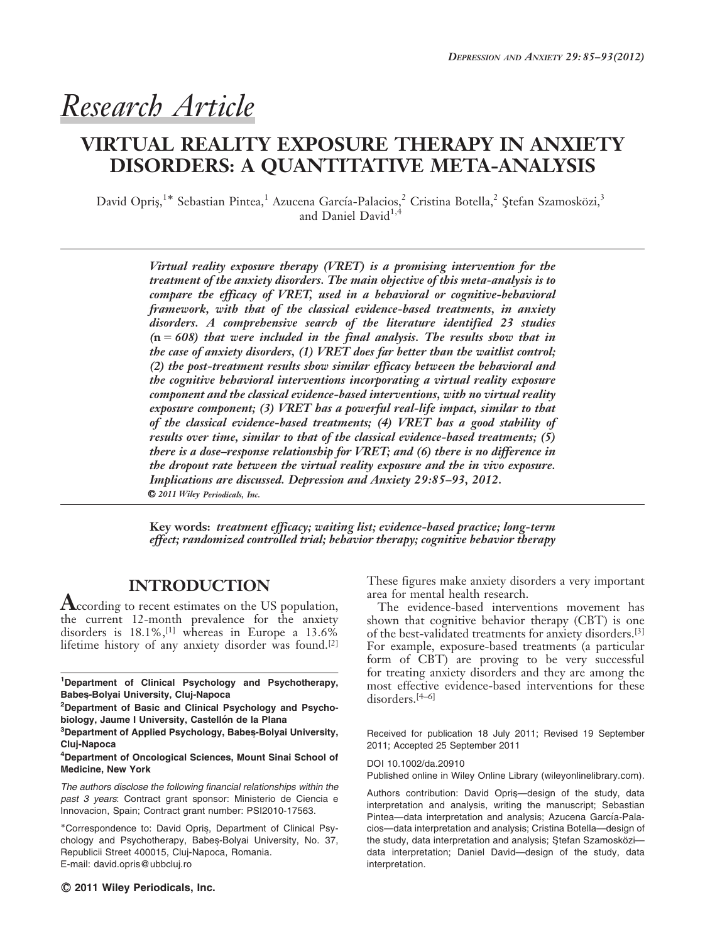# Research Article

# VIRTUAL REALITY EXPOSURE THERAPY IN ANXIETY DISORDERS: A QUANTITATIVE META-ANALYSIS

David Opriș,<sup>1</sup>\* Sebastian Pintea,<sup>1</sup> Azucena García-Palacios,<sup>2</sup> Cristina Botella,<sup>2</sup> Ștefan Szamosközi,<sup>3</sup> and Daniel David<sup>1,4</sup>

> Virtual reality exposure therapy (VRET) is a promising intervention for the treatment of the anxiety disorders. The main objective of this meta-analysis is to compare the efficacy of VRET, used in a behavioral or cognitive-behavioral framework, with that of the classical evidence-based treatments, in anxiety disorders. A comprehensive search of the literature identified 23 studies  $(n = 608)$  that were included in the final analysis. The results show that in the case of anxiety disorders, (1) VRET does far better than the waitlist control; (2) the post-treatment results show similar efficacy between the behavioral and the cognitive behavioral interventions incorporating a virtual reality exposure component and the classical evidence-based interventions, with no virtual reality exposure component; (3) VRET has a powerful real-life impact, similar to that of the classical evidence-based treatments; (4) VRET has a good stability of results over time, similar to that of the classical evidence-based treatments; (5) there is a dose–response relationship for VRET; and (6) there is no difference in the dropout rate between the virtual reality exposure and the in vivo exposure. Implications are discussed. Depression and Anxiety 29:85–93, 2012. <sup>O</sup> 2011 Wiley Periodicals, Inc.

> Key words: treatment efficacy; waiting list; evidence-based practice; long-term effect; randomized controlled trial; behavior therapy; cognitive behavior therapy

# INTRODUCTION

 $\bf{A}$ ccording to recent estimates on the US population, the current 12-month prevalence for the anxiety disorders is 18.1%,[1] whereas in Europe a 13.6% lifetime history of any anxiety disorder was found.[2]

The authors disclose the following financial relationships within the past 3 years: Contract grant sponsor: Ministerio de Ciencia e Innovacion, Spain; Contract grant number: PSI2010-17563.

\*Correspondence to: David Opris, Department of Clinical Psychology and Psychotherapy, Babes-Bolyai University, No. 37, Republicii Street 400015, Cluj-Napoca, Romania. E-mail: david.opris@ubbcluj.ro

These figures make anxiety disorders a very important area for mental health research.

The evidence-based interventions movement has shown that cognitive behavior therapy (CBT) is one of the best-validated treatments for anxiety disorders.[3] For example, exposure-based treatments (a particular form of CBT) are proving to be very successful for treating anxiety disorders and they are among the most effective evidence-based interventions for these disorders.[4–6]

Received for publication 18 July 2011; Revised 19 September 2011; Accepted 25 September 2011

DOI 10.1002/da.20910

Published online in Wiley Online Library (wileyonlinelibrary.com).

Authors contribution: David Opris-design of the study, data interpretation and analysis, writing the manuscript; Sebastian Pintea-data interpretation and analysis; Azucena García-Palacios—data interpretation and analysis; Cristina Botella—design of the study, data interpretation and analysis; Stefan Szamosközidata interpretation; Daniel David—design of the study, data interpretation.

<sup>&</sup>lt;sup>1</sup>Department of Clinical Psychology and Psychotherapy, Babes-Bolyai University, Cluj-Napoca

<sup>&</sup>lt;sup>2</sup>Department of Basic and Clinical Psychology and Psychobiology, Jaume I University, Castellón de la Plana

<sup>&</sup>lt;sup>3</sup>Department of Applied Psychology, Babes-Bolyai University, Cluj-Napoca

<sup>4</sup> Department of Oncological Sciences, Mount Sinai School of Medicine, New York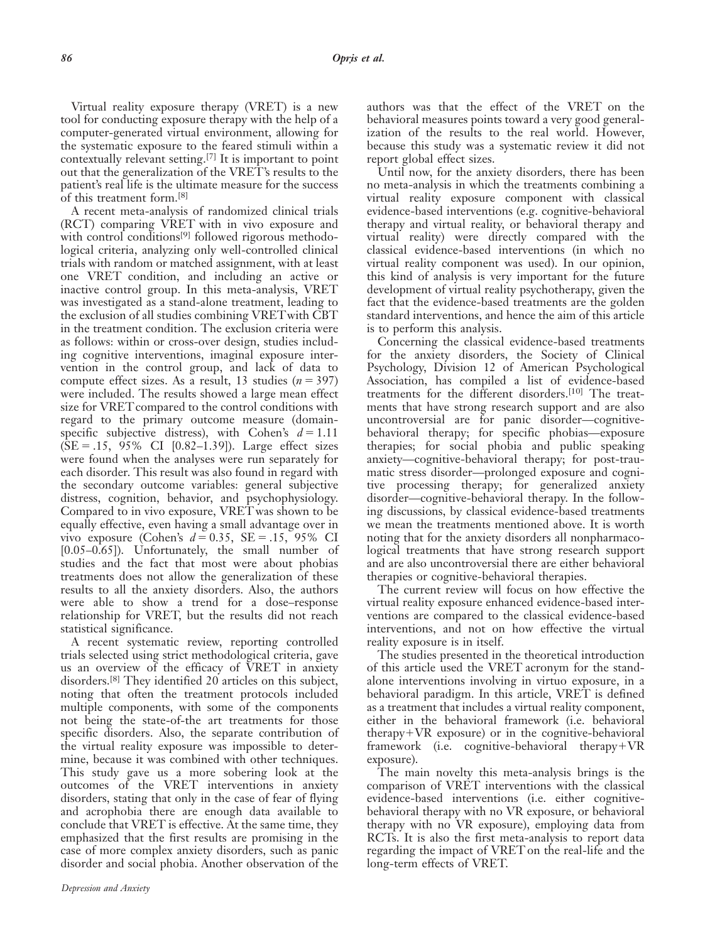Virtual reality exposure therapy (VRET) is a new tool for conducting exposure therapy with the help of a computer-generated virtual environment, allowing for the systematic exposure to the feared stimuli within a contextually relevant setting.[7] It is important to point out that the generalization of the VRET's results to the patient's real life is the ultimate measure for the success of this treatment form.[8]

A recent meta-analysis of randomized clinical trials (RCT) comparing VRET with in vivo exposure and with control conditions<sup>[9]</sup> followed rigorous methodological criteria, analyzing only well-controlled clinical trials with random or matched assignment, with at least one VRET condition, and including an active or inactive control group. In this meta-analysis, VRET was investigated as a stand-alone treatment, leading to the exclusion of all studies combining VRETwith CBT in the treatment condition. The exclusion criteria were as follows: within or cross-over design, studies including cognitive interventions, imaginal exposure intervention in the control group, and lack of data to compute effect sizes. As a result, 13 studies  $(n = 397)$ were included. The results showed a large mean effect size for VRET compared to the control conditions with regard to the primary outcome measure (domainspecific subjective distress), with Cohen's  $d = 1.11$  $(SE = .15, 95\% \text{ CI} [0.82 - 1.39])$ . Large effect sizes were found when the analyses were run separately for each disorder. This result was also found in regard with the secondary outcome variables: general subjective distress, cognition, behavior, and psychophysiology. Compared to in vivo exposure, VRETwas shown to be equally effective, even having a small advantage over in vivo exposure (Cohen's  $d = 0.35$ , SE = .15, 95% CI [0.05–0.65]). Unfortunately, the small number of studies and the fact that most were about phobias treatments does not allow the generalization of these results to all the anxiety disorders. Also, the authors were able to show a trend for a dose–response relationship for VRET, but the results did not reach statistical significance.

A recent systematic review, reporting controlled trials selected using strict methodological criteria, gave us an overview of the efficacy of VRET in anxiety disorders.[8] They identified 20 articles on this subject, noting that often the treatment protocols included multiple components, with some of the components not being the state-of-the art treatments for those specific disorders. Also, the separate contribution of the virtual reality exposure was impossible to determine, because it was combined with other techniques. This study gave us a more sobering look at the outcomes of the VRET interventions in anxiety disorders, stating that only in the case of fear of flying and acrophobia there are enough data available to conclude that VRET is effective. At the same time, they emphasized that the first results are promising in the case of more complex anxiety disorders, such as panic disorder and social phobia. Another observation of the authors was that the effect of the VRET on the behavioral measures points toward a very good generalization of the results to the real world. However, because this study was a systematic review it did not report global effect sizes.

Until now, for the anxiety disorders, there has been no meta-analysis in which the treatments combining a virtual reality exposure component with classical evidence-based interventions (e.g. cognitive-behavioral therapy and virtual reality, or behavioral therapy and virtual reality) were directly compared with the classical evidence-based interventions (in which no virtual reality component was used). In our opinion, this kind of analysis is very important for the future development of virtual reality psychotherapy, given the fact that the evidence-based treatments are the golden standard interventions, and hence the aim of this article is to perform this analysis.

Concerning the classical evidence-based treatments for the anxiety disorders, the Society of Clinical Psychology, Division 12 of American Psychological Association, has compiled a list of evidence-based treatments for the different disorders.[10] The treatments that have strong research support and are also uncontroversial are for panic disorder—cognitivebehavioral therapy; for specific phobias—exposure therapies; for social phobia and public speaking anxiety—cognitive-behavioral therapy; for post-traumatic stress disorder—prolonged exposure and cognitive processing therapy; for generalized anxiety disorder—cognitive-behavioral therapy. In the following discussions, by classical evidence-based treatments we mean the treatments mentioned above. It is worth noting that for the anxiety disorders all nonpharmacological treatments that have strong research support and are also uncontroversial there are either behavioral therapies or cognitive-behavioral therapies.

The current review will focus on how effective the virtual reality exposure enhanced evidence-based interventions are compared to the classical evidence-based interventions, and not on how effective the virtual reality exposure is in itself.

The studies presented in the theoretical introduction of this article used the VRET acronym for the standalone interventions involving in virtuo exposure, in a behavioral paradigm. In this article, VRET is defined as a treatment that includes a virtual reality component, either in the behavioral framework (i.e. behavioral  $therapy+VR$  exposure) or in the cognitive-behavioral framework (i.e. cognitive-behavioral therapy+VR exposure).

The main novelty this meta-analysis brings is the comparison of VRET interventions with the classical evidence-based interventions (i.e. either cognitivebehavioral therapy with no VR exposure, or behavioral therapy with no VR exposure), employing data from RCTs. It is also the first meta-analysis to report data regarding the impact of VRET on the real-life and the long-term effects of VRET.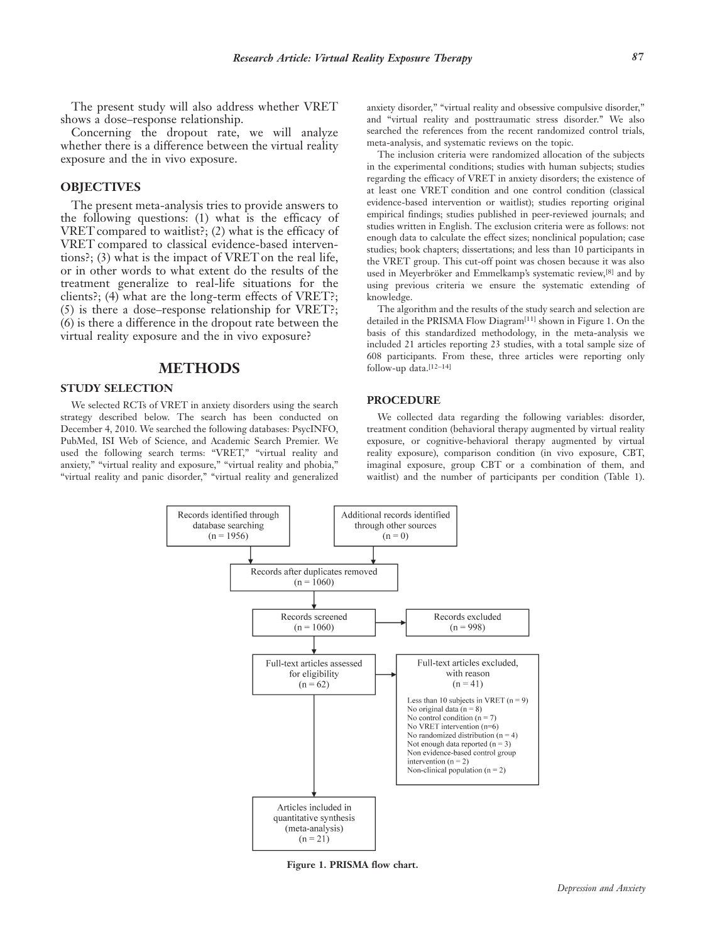The present study will also address whether VRET shows a dose–response relationship.

Concerning the dropout rate, we will analyze whether there is a difference between the virtual reality exposure and the in vivo exposure.

# **OBJECTIVES**

The present meta-analysis tries to provide answers to the following questions: (1) what is the efficacy of VRET compared to waitlist?; (2) what is the efficacy of VRET compared to classical evidence-based interventions?; (3) what is the impact of VRET on the real life, or in other words to what extent do the results of the treatment generalize to real-life situations for the clients?; (4) what are the long-term effects of VRET?; (5) is there a dose–response relationship for VRET?; (6) is there a difference in the dropout rate between the virtual reality exposure and the in vivo exposure?

## METHODS

### STUDY SELECTION

We selected RCTs of VRET in anxiety disorders using the search strategy described below. The search has been conducted on December 4, 2010. We searched the following databases: PsycINFO, PubMed, ISI Web of Science, and Academic Search Premier. We used the following search terms: "VRET," "virtual reality and anxiety," "virtual reality and exposure," "virtual reality and phobia," "virtual reality and panic disorder," "virtual reality and generalized

anxiety disorder," "virtual reality and obsessive compulsive disorder," and ''virtual reality and posttraumatic stress disorder.'' We also searched the references from the recent randomized control trials, meta-analysis, and systematic reviews on the topic.

The inclusion criteria were randomized allocation of the subjects in the experimental conditions; studies with human subjects; studies regarding the efficacy of VRET in anxiety disorders; the existence of at least one VRET condition and one control condition (classical evidence-based intervention or waitlist); studies reporting original empirical findings; studies published in peer-reviewed journals; and studies written in English. The exclusion criteria were as follows: not enough data to calculate the effect sizes; nonclinical population; case studies; book chapters; dissertations; and less than 10 participants in the VRET group. This cut-off point was chosen because it was also used in Meyerbröker and Emmelkamp's systematic review,<sup>[8]</sup> and by using previous criteria we ensure the systematic extending of knowledge.

The algorithm and the results of the study search and selection are detailed in the PRISMA Flow Diagram<sup>[11]</sup> shown in Figure 1. On the basis of this standardized methodology, in the meta-analysis we included 21 articles reporting 23 studies, with a total sample size of 608 participants. From these, three articles were reporting only follow-up data.[12–14]

#### **PROCEDURE**

We collected data regarding the following variables: disorder, treatment condition (behavioral therapy augmented by virtual reality exposure, or cognitive-behavioral therapy augmented by virtual reality exposure), comparison condition (in vivo exposure, CBT, imaginal exposure, group CBT or a combination of them, and waitlist) and the number of participants per condition (Table 1).



Figure 1. PRISMA flow chart.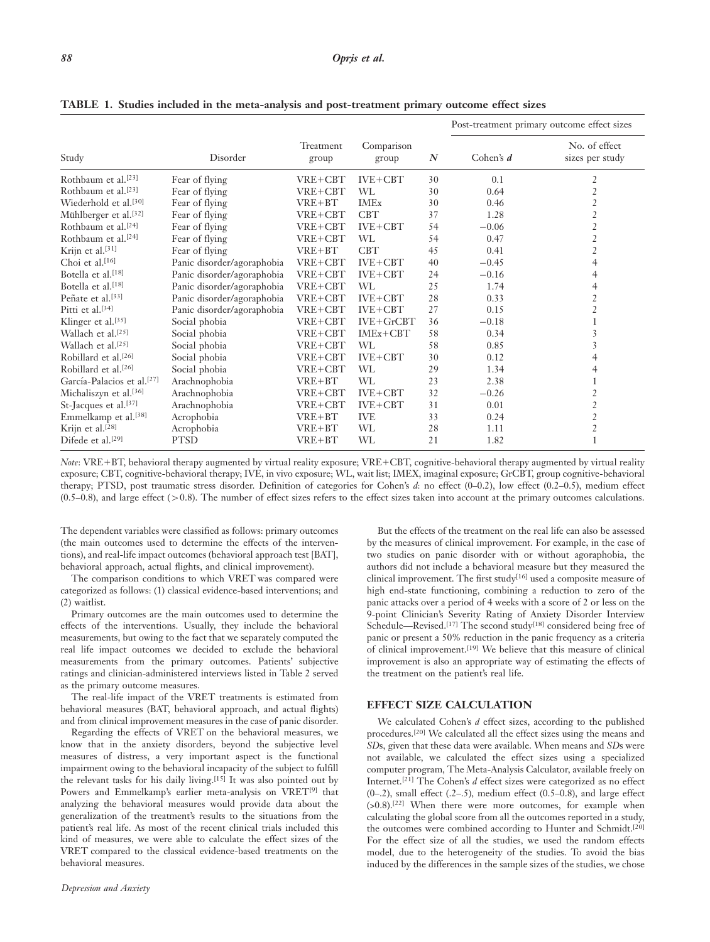|                                        | Disorder                   | Treatment<br>group | Comparison<br>group |    | Post-treatment primary outcome effect sizes |                                  |
|----------------------------------------|----------------------------|--------------------|---------------------|----|---------------------------------------------|----------------------------------|
| Study                                  |                            |                    |                     | N  | Cohen's $d$                                 | No. of effect<br>sizes per study |
| Rothbaum et al. <sup>[23]</sup>        | Fear of flying             | VRE+CBT            | $IVE+CBT$           | 30 | 0.1                                         | $\overline{c}$                   |
| Rothbaum et al. <sup>[23]</sup>        | Fear of flying             | VRE+CBT            | WL                  | 30 | 0.64                                        | 2                                |
| Wiederhold et al. <sup>[30]</sup>      | Fear of flying             | $VRE + BT$         | <b>IMEx</b>         | 30 | 0.46                                        | 2                                |
| Mühlberger et al. <sup>[32]</sup>      | Fear of flying             | VRE+CBT            | <b>CBT</b>          | 37 | 1.28                                        | 2                                |
| Rothbaum et al. <sup>[24]</sup>        | Fear of flying             | VRE+CBT            | $IVE+CBT$           | 54 | $-0.06$                                     | $\overline{2}$                   |
| Rothbaum et al. <sup>[24]</sup>        | Fear of flying             | VRE+CBT            | WL                  | 54 | 0.47                                        | $\overline{2}$                   |
| Krijn et al. <sup>[31]</sup>           | Fear of flying             | $VRE + BT$         | <b>CBT</b>          | 45 | 0.41                                        | 2                                |
| Choi et al.[16]                        | Panic disorder/agoraphobia | VRE+CBT            | $IVE+CBT$           | 40 | $-0.45$                                     | 4                                |
| Botella et al. <sup>[18]</sup>         | Panic disorder/agoraphobia | VRE+CBT            | $IVE+CBT$           | 24 | $-0.16$                                     | 4                                |
| Botella et al. <sup>[18]</sup>         | Panic disorder/agoraphobia | VRE+CBT            | WL                  | 25 | 1.74                                        | 4                                |
| Peñate et al. <sup>[33]</sup>          | Panic disorder/agoraphobia | VRE+CBT            | $IVE+CBT$           | 28 | 0.33                                        | 2                                |
| Pitti et al. <sup>[34]</sup>           | Panic disorder/agoraphobia | VRE+CBT            | $IVE+CBT$           | 27 | 0.15                                        | 2                                |
| Klinger et al. <sup>[35]</sup>         | Social phobia              | VRE+CBT            | $IVE+GrCBT$         | 36 | $-0.18$                                     |                                  |
| Wallach et al. <sup>[25]</sup>         | Social phobia              | VRE+CBT            | $IMEx+CBT$          | 58 | 0.34                                        | 3                                |
| Wallach et al. <sup>[25]</sup>         | Social phobia              | VRE+CBT            | WL                  | 58 | 0.85                                        | 3                                |
| Robillard et al. <sup>[26]</sup>       | Social phobia              | VRE+CBT            | $IVE+CBT$           | 30 | 0.12                                        | 4                                |
| Robillard et al. <sup>[26]</sup>       | Social phobia              | VRE+CBT            | WL                  | 29 | 1.34                                        | 4                                |
| García-Palacios et al. <sup>[27]</sup> | Arachnophobia              | VRE+BT             | WL                  | 23 | 2.38                                        |                                  |
| Michaliszyn et al. <sup>[36]</sup>     | Arachnophobia              | VRE+CBT            | $IVE+CBT$           | 32 | $-0.26$                                     | 2                                |
| St-Jacques et al. <sup>[37]</sup>      | Arachnophobia              | VRE+CBT            | $IVE+CBT$           | 31 | 0.01                                        | 2                                |
| Emmelkamp et al. <sup>[38]</sup>       | Acrophobia                 | $VRE + BT$         | <b>IVE</b>          | 33 | 0.24                                        | $\overline{c}$                   |
| Krijn et al. <sup>[28]</sup>           | Acrophobia                 | $VRE + BT$         | WL                  | 28 | 1.11                                        | 2                                |
| Difede et al. <sup>[29]</sup>          | <b>PTSD</b>                | $VRE + BT$         | WL                  | 21 | 1.82                                        |                                  |

TABLE 1. Studies included in the meta-analysis and post-treatment primary outcome effect sizes

Note: VRE+BT, behavioral therapy augmented by virtual reality exposure; VRE+CBT, cognitive-behavioral therapy augmented by virtual reality exposure; CBT, cognitive-behavioral therapy; IVE, in vivo exposure; WL, wait list; IMEX, imaginal exposure; GrCBT, group cognitive-behavioral therapy; PTSD, post traumatic stress disorder. Definition of categories for Cohen's d: no effect (0–0.2), low effect (0.2–0.5), medium effect  $(0.5-0.8)$ , and large effect (>0.8). The number of effect sizes refers to the effect sizes taken into account at the primary outcomes calculations.

The dependent variables were classified as follows: primary outcomes (the main outcomes used to determine the effects of the interventions), and real-life impact outcomes (behavioral approach test [BAT], behavioral approach, actual flights, and clinical improvement).

The comparison conditions to which VRET was compared were categorized as follows: (1) classical evidence-based interventions; and (2) waitlist.

Primary outcomes are the main outcomes used to determine the effects of the interventions. Usually, they include the behavioral measurements, but owing to the fact that we separately computed the real life impact outcomes we decided to exclude the behavioral measurements from the primary outcomes. Patients' subjective ratings and clinician-administered interviews listed in Table 2 served as the primary outcome measures.

The real-life impact of the VRET treatments is estimated from behavioral measures (BAT, behavioral approach, and actual flights) and from clinical improvement measures in the case of panic disorder.

Regarding the effects of VRET on the behavioral measures, we know that in the anxiety disorders, beyond the subjective level measures of distress, a very important aspect is the functional impairment owing to the behavioral incapacity of the subject to fulfill the relevant tasks for his daily living.<sup>[15]</sup> It was also pointed out by Powers and Emmelkamp's earlier meta-analysis on VRET<sup>[9]</sup> that analyzing the behavioral measures would provide data about the generalization of the treatment's results to the situations from the patient's real life. As most of the recent clinical trials included this kind of measures, we were able to calculate the effect sizes of the VRET compared to the classical evidence-based treatments on the behavioral measures.

But the effects of the treatment on the real life can also be assessed by the measures of clinical improvement. For example, in the case of two studies on panic disorder with or without agoraphobia, the authors did not include a behavioral measure but they measured the clinical improvement. The first study<sup>[16]</sup> used a composite measure of high end-state functioning, combining a reduction to zero of the panic attacks over a period of 4 weeks with a score of 2 or less on the 9-point Clinician's Severity Rating of Anxiety Disorder Interview Schedule—Revised.<sup>[17]</sup> The second study<sup>[18]</sup> considered being free of panic or present a 50% reduction in the panic frequency as a criteria of clinical improvement.[19] We believe that this measure of clinical improvement is also an appropriate way of estimating the effects of the treatment on the patient's real life.

#### EFFECT SIZE CALCULATION

We calculated Cohen's  $d$  effect sizes, according to the published procedures.[20] We calculated all the effect sizes using the means and SDs, given that these data were available. When means and SDs were not available, we calculated the effect sizes using a specialized computer program, The Meta-Analysis Calculator, available freely on Internet.[21] The Cohen's d effect sizes were categorized as no effect (0–.2), small effect (.2–.5), medium effect (0.5–0.8), and large effect (>0.8).[22] When there were more outcomes, for example when calculating the global score from all the outcomes reported in a study, the outcomes were combined according to Hunter and Schmidt.[20] For the effect size of all the studies, we used the random effects model, due to the heterogeneity of the studies. To avoid the bias induced by the differences in the sample sizes of the studies, we chose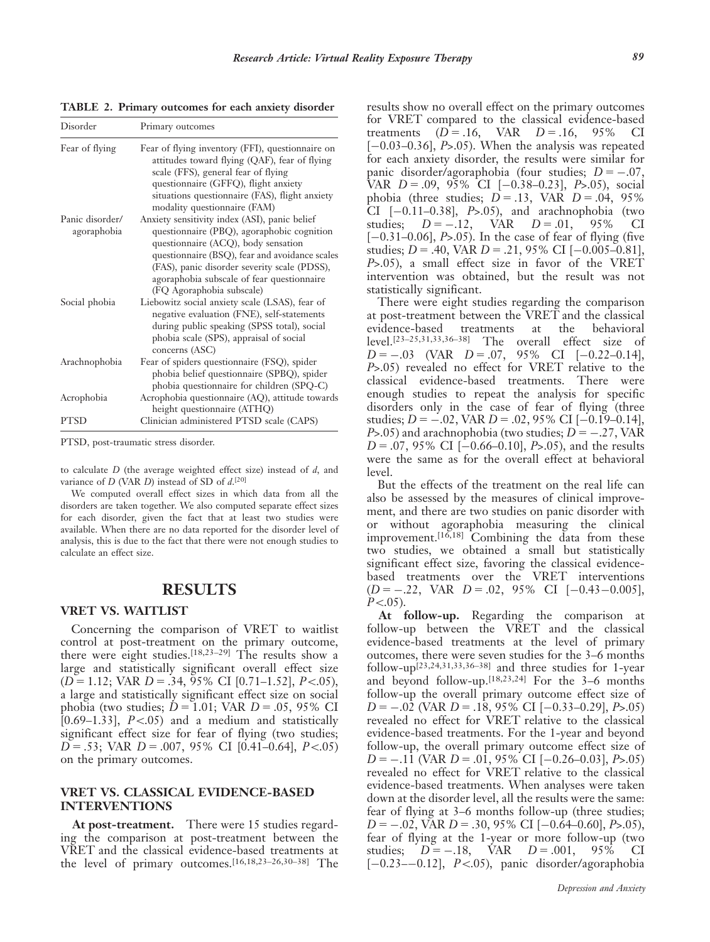TABLE 2. Primary outcomes for each anxiety disorder

| Disorder                       | Primary outcomes                                                                                                                                                                                                                                                                                                |  |  |
|--------------------------------|-----------------------------------------------------------------------------------------------------------------------------------------------------------------------------------------------------------------------------------------------------------------------------------------------------------------|--|--|
| Fear of flying                 | Fear of flying inventory (FFI), questionnaire on<br>attitudes toward flying (QAF), fear of flying<br>scale (FFS), general fear of flying<br>questionnaire (GFFQ), flight anxiety<br>situations questionnaire (FAS), flight anxiety<br>modality questionnaire (FAM)                                              |  |  |
| Panic disorder/<br>agoraphobia | Anxiety sensitivity index (ASI), panic belief<br>questionnaire (PBQ), agoraphobic cognition<br>questionnaire (ACQ), body sensation<br>questionnaire (BSQ), fear and avoidance scales<br>(FAS), panic disorder severity scale (PDSS),<br>agoraphobia subscale of fear questionnaire<br>(FQ Agoraphobia subscale) |  |  |
| Social phobia                  | Liebowitz social anxiety scale (LSAS), fear of<br>negative evaluation (FNE), self-statements<br>during public speaking (SPSS total), social<br>phobia scale (SPS), appraisal of social<br>concerns (ASC)                                                                                                        |  |  |
| Arachnophobia                  | Fear of spiders questionnaire (FSQ), spider<br>phobia belief questionnaire (SPBQ), spider<br>phobia questionnaire for children (SPQ-C)                                                                                                                                                                          |  |  |
| Acrophobia                     | Acrophobia questionnaire (AQ), attitude towards<br>height questionnaire (ATHQ)                                                                                                                                                                                                                                  |  |  |
| <b>PTSD</b>                    | Clinician administered PTSD scale (CAPS)                                                                                                                                                                                                                                                                        |  |  |

PTSD, post-traumatic stress disorder.

to calculate  $D$  (the average weighted effect size) instead of  $d$ , and variance of  $D$  (VAR  $D$ ) instead of SD of  $d$ .<sup>[20]</sup>

We computed overall effect sizes in which data from all the disorders are taken together. We also computed separate effect sizes for each disorder, given the fact that at least two studies were available. When there are no data reported for the disorder level of analysis, this is due to the fact that there were not enough studies to calculate an effect size.

# RESULTS

## VRET VS. WAITLIST

Concerning the comparison of VRET to waitlist control at post-treatment on the primary outcome, there were eight studies.<sup>[18,23-29]</sup> The results show a large and statistically significant overall effect size  $(D = 1.12; \text{VAR } D = .34, 95\% \text{ CI } [0.71 - 1.52], P < .05),$ a large and statistically significant effect size on social phobia (two studies;  $D = 1.01$ ; VAR  $D = .05$ , 95% CI [ $0.69-1.33$ ],  $P<.05$ ) and a medium and statistically significant effect size for fear of flying (two studies;  $D = .53$ ; VAR  $D = .007$ , 95% CI [0.41–0.64], P<.05) on the primary outcomes.

# VRET VS. CLASSICAL EVIDENCE-BASED INTERVENTIONS

At post-treatment. There were 15 studies regarding the comparison at post-treatment between the VRET and the classical evidence-based treatments at the level of primary outcomes.[16,18,23–26,30–38] The

results show no overall effect on the primary outcomes for VRET compared to the classical evidence-based treatments  $(D = .16, \text{VAR} \quad D = .16, \text{ 95\%} \quad \text{CI}$  $[-0.03-0.36]$ , P>.05). When the analysis was repeated for each anxiety disorder, the results were similar for panic disorder/agoraphobia (four studies;  $D = -.07$ , VAR  $D = .09, 95\%$  CI  $[-0.38-0.23]$ , P $>0.05$ ), social phobia (three studies;  $D = .13$ , VAR  $D = .04$ , 95% CI  $[-0.11-0.38]$ , P>.05), and arachnophobia (two<br>studies:  $D = -12$ , VAR  $D = .01$ , 95% CI studies;  $D = -.12$ , VAR  $D = .01$ ,  $[-0.31-0.06]$ , P $>0.05$ ). In the case of fear of flying (five studies;  $D = .40$ , VAR  $D = .21$ , 95% CI [-0.005-0.81]. P>.05), a small effect size in favor of the VRET intervention was obtained, but the result was not statistically significant.

There were eight studies regarding the comparison at post-treatment between the VRET and the classical evidence-based treatments at the behavioral level.[23–25,31,33,36–38] The overall effect size of  $D = -.03$  (VAR  $D = .07$ , 95% CI  $[-0.22-0.14]$ , P>.05) revealed no effect for VRET relative to the classical evidence-based treatments. There were enough studies to repeat the analysis for specific disorders only in the case of fear of flying (three studies;  $D = -.02$ , VAR  $D = .02$ , 95% CI  $[-0.19-0.14]$ ,  $P > 0.05$ ) and arachnophobia (two studies;  $D = -.27$ , VAR  $D = .07, 95\% \text{ CI } [-0.66 - 0.10], P > .05$ , and the results were the same as for the overall effect at behavioral level.

But the effects of the treatment on the real life can also be assessed by the measures of clinical improvement, and there are two studies on panic disorder with or without agoraphobia measuring the clinical improvement.  $[16,18]$  Combining the data from these two studies, we obtained a small but statistically significant effect size, favoring the classical evidencebased treatments over the VRET interventions  $(D = -.22, \text{ VAR}$   $D = .02, 95\%$  CI  $[-0.43 - 0.005]$ ,  $P < .05$ ).

At follow-up. Regarding the comparison at follow-up between the VRET and the classical evidence-based treatments at the level of primary outcomes, there were seven studies for the 3–6 months follow-up[23,24,31,33,36–38] and three studies for 1-year and beyond follow-up.[18,23,24] For the 3–6 months follow-up the overall primary outcome effect size of  $D = -.02$  (VAR  $D = .18, 95\%$  CI [-0.33-0.29], P>.05) revealed no effect for VRET relative to the classical evidence-based treatments. For the 1-year and beyond follow-up, the overall primary outcome effect size of  $D = -.11$  (VAR  $D = .01, 95\%$  CI  $[-0.26-0.03]$ , P>.05) revealed no effect for VRET relative to the classical evidence-based treatments. When analyses were taken down at the disorder level, all the results were the same: fear of flying at 3–6 months follow-up (three studies;  $D = -.02$ , VAR  $D = .30, 95\%$  CI  $[-0.64-0.60]$ , P>.05), fear of flying at the 1-year or more follow-up (two studies;  $D = -.18$ , VAR  $D = .001$ , 95% CI  $[-0.23 - 0.12]$ ,  $P < .05$ ), panic disorder/agoraphobia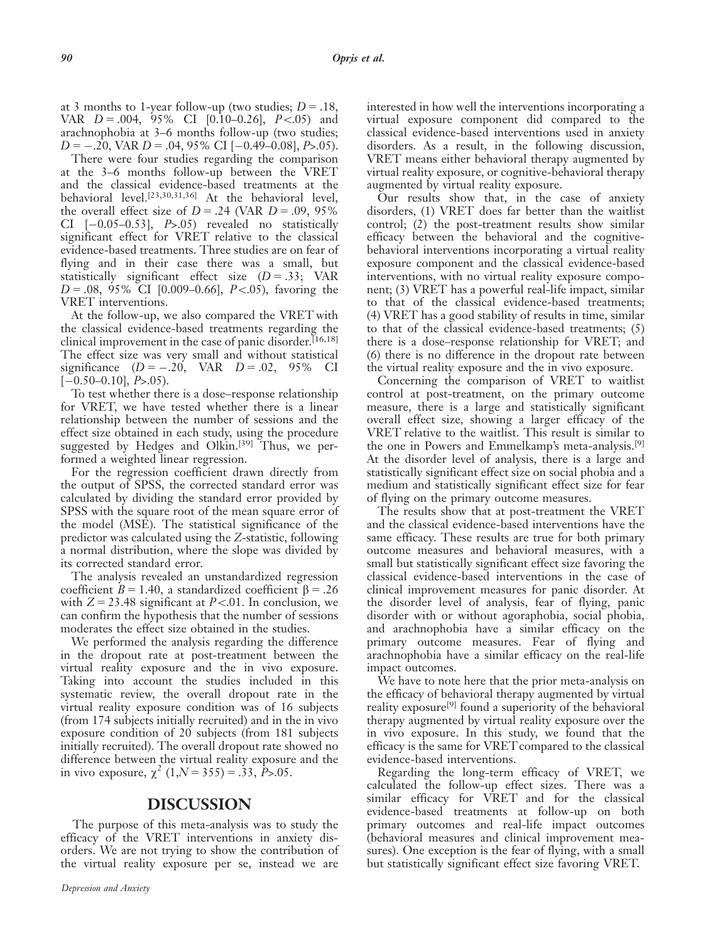at 3 months to 1-year follow-up (two studies;  $D = .18$ , VAR  $D = .004$ , 95% CI [0.10–0.26], P<.05) and arachnophobia at 3–6 months follow-up (two studies;  $D = -.20$ , VAR  $D = .04$ , 95% CI  $[-0.49-0.08]$ , P>.05).

There were four studies regarding the comparison at the 3–6 months follow-up between the VRET and the classical evidence-based treatments at the behavioral level.[23,30,31,36] At the behavioral level, the overall effect size of  $D = .24$  (VAR  $D = .09, 95\%$ CI  $[-0.05-0.53]$ , P>.05) revealed no statistically significant effect for VRET relative to the classical evidence-based treatments. Three studies are on fear of flying and in their case there was a small, but statistically significant effect size  $(D = .33; VAR)$  $D = .08, 95\%$  CI [0.009–0.66], P<.05), favoring the VRET interventions.

At the follow-up, we also compared the VRET with the classical evidence-based treatments regarding the clinical improvement in the case of panic disorder.  $[16,18]$ The effect size was very small and without statistical significance  $(D = -.20, \text{VAR} \quad D = .02, \text{ 95\%} \quad \text{CI}$  $[-0.50-0.10]$ , P>.05).

To test whether there is a dose–response relationship for VRET, we have tested whether there is a linear relationship between the number of sessions and the effect size obtained in each study, using the procedure suggested by Hedges and Olkin.<sup>[39]</sup> Thus, we performed a weighted linear regression.

For the regression coefficient drawn directly from the output of SPSS, the corrected standard error was calculated by dividing the standard error provided by SPSS with the square root of the mean square error of the model (MSE). The statistical significance of the predictor was calculated using the Z-statistic, following a normal distribution, where the slope was divided by its corrected standard error.

The analysis revealed an unstandardized regression coefficient  $B = 1.40$ , a standardized coefficient  $\beta = .26$ with  $Z = 23.48$  significant at  $P < 01$ . In conclusion, we can confirm the hypothesis that the number of sessions moderates the effect size obtained in the studies.

We performed the analysis regarding the difference in the dropout rate at post-treatment between the virtual reality exposure and the in vivo exposure. Taking into account the studies included in this systematic review, the overall dropout rate in the virtual reality exposure condition was of 16 subjects (from 174 subjects initially recruited) and in the in vivo exposure condition of 20 subjects (from 181 subjects initially recruited). The overall dropout rate showed no difference between the virtual reality exposure and the in vivo exposure,  $\chi^2$  (1,N = 355) = .33,  $\dot{P} > .05$ .

# DISCUSSION

The purpose of this meta-analysis was to study the efficacy of the VRET interventions in anxiety disorders. We are not trying to show the contribution of the virtual reality exposure per se, instead we are interested in how well the interventions incorporating a virtual exposure component did compared to the classical evidence-based interventions used in anxiety disorders. As a result, in the following discussion, VRET means either behavioral therapy augmented by virtual reality exposure, or cognitive-behavioral therapy augmented by virtual reality exposure.

Our results show that, in the case of anxiety disorders, (1) VRET does far better than the waitlist control; (2) the post-treatment results show similar efficacy between the behavioral and the cognitivebehavioral interventions incorporating a virtual reality exposure component and the classical evidence-based interventions, with no virtual reality exposure component; (3) VRET has a powerful real-life impact, similar to that of the classical evidence-based treatments; (4) VRET has a good stability of results in time, similar to that of the classical evidence-based treatments; (5) there is a dose–response relationship for VRET; and (6) there is no difference in the dropout rate between the virtual reality exposure and the in vivo exposure.

Concerning the comparison of VRET to waitlist control at post-treatment, on the primary outcome measure, there is a large and statistically significant overall effect size, showing a larger efficacy of the VRET relative to the waitlist. This result is similar to the one in Powers and Emmelkamp's meta-analysis.[9] At the disorder level of analysis, there is a large and statistically significant effect size on social phobia and a medium and statistically significant effect size for fear of flying on the primary outcome measures.

The results show that at post-treatment the VRET and the classical evidence-based interventions have the same efficacy. These results are true for both primary outcome measures and behavioral measures, with a small but statistically significant effect size favoring the classical evidence-based interventions in the case of clinical improvement measures for panic disorder. At the disorder level of analysis, fear of flying, panic disorder with or without agoraphobia, social phobia, and arachnophobia have a similar efficacy on the primary outcome measures. Fear of flying and arachnophobia have a similar efficacy on the real-life impact outcomes.

We have to note here that the prior meta-analysis on the efficacy of behavioral therapy augmented by virtual reality exposure[9] found a superiority of the behavioral therapy augmented by virtual reality exposure over the in vivo exposure. In this study, we found that the efficacy is the same for VRET compared to the classical evidence-based interventions.

Regarding the long-term efficacy of VRET, we calculated the follow-up effect sizes. There was a similar efficacy for VRET and for the classical evidence-based treatments at follow-up on both primary outcomes and real-life impact outcomes (behavioral measures and clinical improvement measures). One exception is the fear of flying, with a small but statistically significant effect size favoring VRET.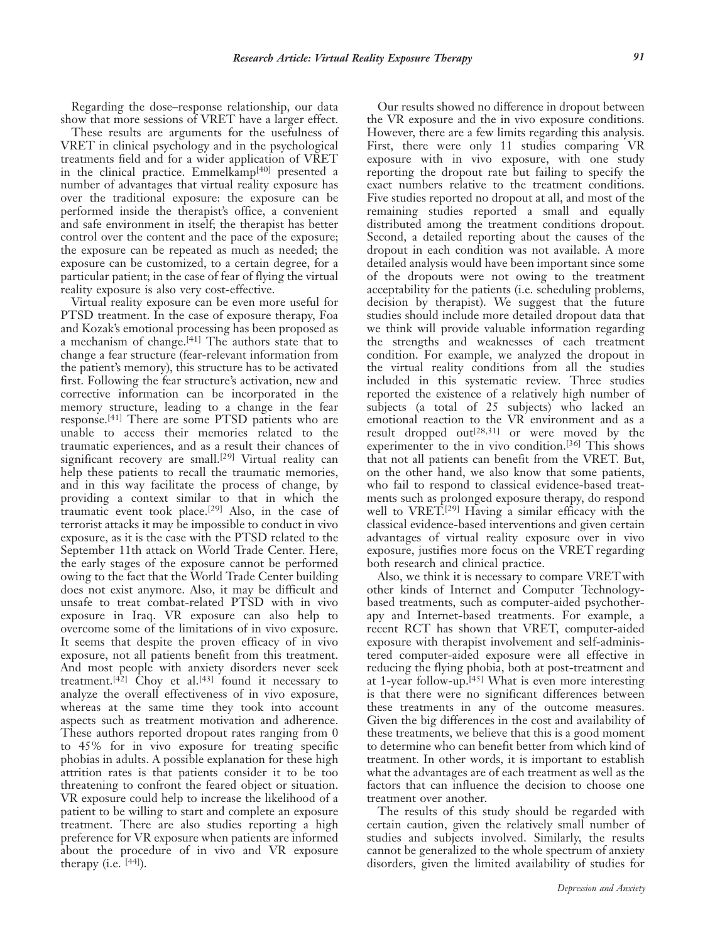Regarding the dose–response relationship, our data show that more sessions of VRET have a larger effect.

These results are arguments for the usefulness of VRET in clinical psychology and in the psychological treatments field and for a wider application of VRET in the clinical practice. Emmelkamp<sup>[40]</sup> presented a number of advantages that virtual reality exposure has over the traditional exposure: the exposure can be performed inside the therapist's office, a convenient and safe environment in itself; the therapist has better control over the content and the pace of the exposure; the exposure can be repeated as much as needed; the exposure can be customized, to a certain degree, for a particular patient; in the case of fear of flying the virtual reality exposure is also very cost-effective.

Virtual reality exposure can be even more useful for PTSD treatment. In the case of exposure therapy, Foa and Kozak's emotional processing has been proposed as a mechanism of change.[41] The authors state that to change a fear structure (fear-relevant information from the patient's memory), this structure has to be activated first. Following the fear structure's activation, new and corrective information can be incorporated in the memory structure, leading to a change in the fear response.[41] There are some PTSD patients who are unable to access their memories related to the traumatic experiences, and as a result their chances of significant recovery are small.<sup>[29]</sup> Virtual reality can help these patients to recall the traumatic memories, and in this way facilitate the process of change, by providing a context similar to that in which the traumatic event took place.[29] Also, in the case of terrorist attacks it may be impossible to conduct in vivo exposure, as it is the case with the PTSD related to the September 11th attack on World Trade Center. Here, the early stages of the exposure cannot be performed owing to the fact that the World Trade Center building does not exist anymore. Also, it may be difficult and unsafe to treat combat-related PTSD with in vivo exposure in Iraq. VR exposure can also help to overcome some of the limitations of in vivo exposure. It seems that despite the proven efficacy of in vivo exposure, not all patients benefit from this treatment. And most people with anxiety disorders never seek treatment. $[42]$  Choy et al. $[43]$  found it necessary to analyze the overall effectiveness of in vivo exposure, whereas at the same time they took into account aspects such as treatment motivation and adherence. These authors reported dropout rates ranging from 0 to 45% for in vivo exposure for treating specific phobias in adults. A possible explanation for these high attrition rates is that patients consider it to be too threatening to confront the feared object or situation. VR exposure could help to increase the likelihood of a patient to be willing to start and complete an exposure treatment. There are also studies reporting a high preference for VR exposure when patients are informed about the procedure of in vivo and VR exposure therapy  $(i.e.$  [44]).

Our results showed no difference in dropout between the VR exposure and the in vivo exposure conditions. However, there are a few limits regarding this analysis. First, there were only 11 studies comparing VR exposure with in vivo exposure, with one study reporting the dropout rate but failing to specify the exact numbers relative to the treatment conditions. Five studies reported no dropout at all, and most of the remaining studies reported a small and equally distributed among the treatment conditions dropout. Second, a detailed reporting about the causes of the dropout in each condition was not available. A more detailed analysis would have been important since some of the dropouts were not owing to the treatment acceptability for the patients (i.e. scheduling problems, decision by therapist). We suggest that the future studies should include more detailed dropout data that we think will provide valuable information regarding the strengths and weaknesses of each treatment condition. For example, we analyzed the dropout in the virtual reality conditions from all the studies included in this systematic review. Three studies reported the existence of a relatively high number of subjects (a total of 25 subjects) who lacked an emotional reaction to the VR environment and as a result dropped out<sup>[28,31]</sup> or were moved by the experimenter to the in vivo condition.[36] This shows that not all patients can benefit from the VRET. But, on the other hand, we also know that some patients, who fail to respond to classical evidence-based treatments such as prolonged exposure therapy, do respond well to VRET.<sup>[29]</sup> Having a similar efficacy with the classical evidence-based interventions and given certain advantages of virtual reality exposure over in vivo exposure, justifies more focus on the VRET regarding both research and clinical practice.

Also, we think it is necessary to compare VRETwith other kinds of Internet and Computer Technologybased treatments, such as computer-aided psychotherapy and Internet-based treatments. For example, a recent RCT has shown that VRET, computer-aided exposure with therapist involvement and self-administered computer-aided exposure were all effective in reducing the flying phobia, both at post-treatment and at 1-year follow-up.[45] What is even more interesting is that there were no significant differences between these treatments in any of the outcome measures. Given the big differences in the cost and availability of these treatments, we believe that this is a good moment to determine who can benefit better from which kind of treatment. In other words, it is important to establish what the advantages are of each treatment as well as the factors that can influence the decision to choose one treatment over another.

The results of this study should be regarded with certain caution, given the relatively small number of studies and subjects involved. Similarly, the results cannot be generalized to the whole spectrum of anxiety disorders, given the limited availability of studies for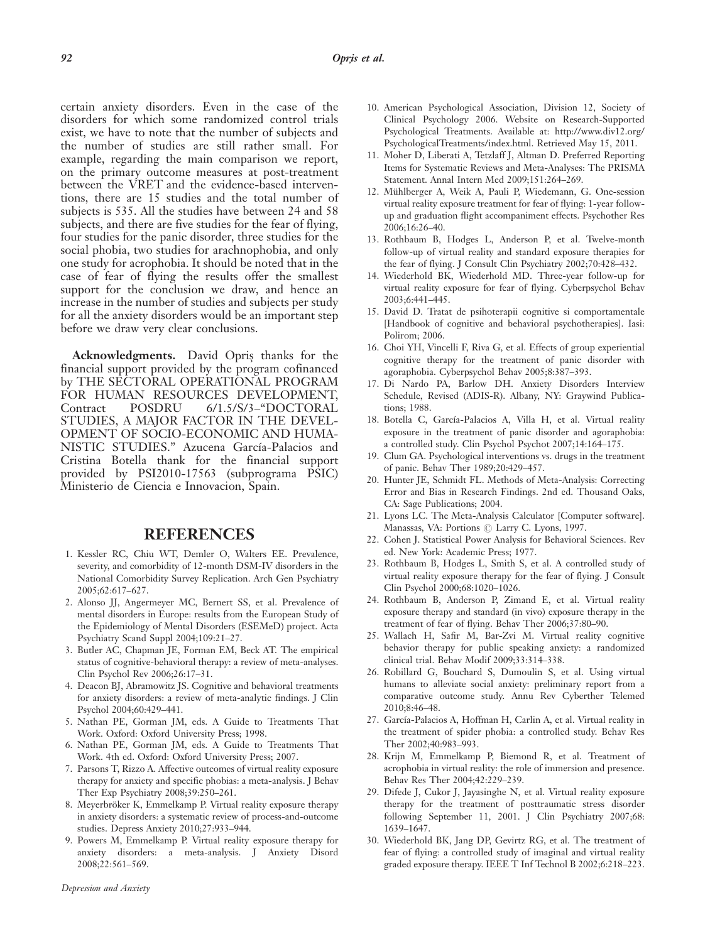certain anxiety disorders. Even in the case of the disorders for which some randomized control trials exist, we have to note that the number of subjects and the number of studies are still rather small. For example, regarding the main comparison we report, on the primary outcome measures at post-treatment between the VRET and the evidence-based interventions, there are 15 studies and the total number of subjects is 535. All the studies have between 24 and 58 subjects, and there are five studies for the fear of flying, four studies for the panic disorder, three studies for the social phobia, two studies for arachnophobia, and only one study for acrophobia. It should be noted that in the case of fear of flying the results offer the smallest support for the conclusion we draw, and hence an increase in the number of studies and subjects per study for all the anxiety disorders would be an important step before we draw very clear conclusions.

Acknowledgments. David Opris thanks for the financial support provided by the program cofinanced by THE SECTORAL OPERATIONAL PROGRAM FOR HUMAN RESOURCES DEVELOPMENT,<br>Contract POSDRU 6/1.5/S/3-"DOCTORAL Contract POSDRU 6/1.5/S/3–''DOCTORAL STUDIES, A MAJOR FACTOR IN THE DEVEL-OPMENT OF SOCIO-ECONOMIC AND HUMA-NISTIC STUDIES." Azucena García-Palacios and Cristina Botella thank for the financial support provided by PSI2010-17563 (subprograma PSIC) Ministerio de Ciencia e Innovacion, Spain.

# REFERENCES

- 1. Kessler RC, Chiu WT, Demler O, Walters EE. Prevalence, severity, and comorbidity of 12-month DSM-IV disorders in the National Comorbidity Survey Replication. Arch Gen Psychiatry 2005;62:617–627.
- 2. Alonso JJ, Angermeyer MC, Bernert SS, et al. Prevalence of mental disorders in Europe: results from the European Study of the Epidemiology of Mental Disorders (ESEMeD) project. Acta Psychiatry Scand Suppl 2004;109:21–27.
- 3. Butler AC, Chapman JE, Forman EM, Beck AT. The empirical status of cognitive-behavioral therapy: a review of meta-analyses. Clin Psychol Rev 2006;26:17–31.
- 4. Deacon BJ, Abramowitz JS. Cognitive and behavioral treatments for anxiety disorders: a review of meta-analytic findings. J Clin Psychol 2004;60:429–441.
- 5. Nathan PE, Gorman JM, eds. A Guide to Treatments That Work. Oxford: Oxford University Press; 1998.
- 6. Nathan PE, Gorman JM, eds. A Guide to Treatments That Work. 4th ed. Oxford: Oxford University Press; 2007.
- 7. Parsons T, Rizzo A. Affective outcomes of virtual reality exposure therapy for anxiety and specific phobias: a meta-analysis. J Behav Ther Exp Psychiatry 2008;39:250–261.
- 8. Meyerbröker K, Emmelkamp P. Virtual reality exposure therapy in anxiety disorders: a systematic review of process-and-outcome studies. Depress Anxiety 2010;27:933–944.
- 9. Powers M, Emmelkamp P. Virtual reality exposure therapy for anxiety disorders: a meta-analysis. J Anxiety Disord 2008;22:561–569.
- 10. American Psychological Association, Division 12, Society of Clinical Psychology 2006. Website on Research-Supported Psychological Treatments. Available at: http://www.div12.org/ PsychologicalTreatments/index.html. Retrieved May 15, 2011.
- 11. Moher D, Liberati A, Tetzlaff J, Altman D. Preferred Reporting Items for Systematic Reviews and Meta-Analyses: The PRISMA Statement. Annal Intern Med 2009;151:264–269.
- 12. Mühlberger A, Weik A, Pauli P, Wiedemann, G. One-session virtual reality exposure treatment for fear of flying: 1-year followup and graduation flight accompaniment effects. Psychother Res 2006;16:26–40.
- 13. Rothbaum B, Hodges L, Anderson P, et al. Twelve-month follow-up of virtual reality and standard exposure therapies for the fear of flying. J Consult Clin Psychiatry 2002;70:428–432.
- 14. Wiederhold BK, Wiederhold MD. Three-year follow-up for virtual reality exposure for fear of flying. Cyberpsychol Behav 2003;6:441–445.
- 15. David D. Tratat de psihoterapii cognitive si comportamentale [Handbook of cognitive and behavioral psychotherapies]. Iasi: Polirom; 2006.
- 16. Choi YH, Vincelli F, Riva G, et al. Effects of group experiential cognitive therapy for the treatment of panic disorder with agoraphobia. Cyberpsychol Behav 2005;8:387–393.
- 17. Di Nardo PA, Barlow DH. Anxiety Disorders Interview Schedule, Revised (ADIS-R). Albany, NY: Graywind Publications; 1988.
- 18. Botella C, García-Palacios A, Villa H, et al. Virtual reality exposure in the treatment of panic disorder and agoraphobia: a controlled study. Clin Psychol Psychot 2007;14:164–175.
- 19. Clum GA. Psychological interventions vs. drugs in the treatment of panic. Behav Ther 1989;20:429–457.
- 20. Hunter JE, Schmidt FL. Methods of Meta-Analysis: Correcting Error and Bias in Research Findings. 2nd ed. Thousand Oaks, CA: Sage Publications; 2004.
- 21. Lyons LC. The Meta-Analysis Calculator [Computer software]. Manassas, VA: Portions  $\odot$  Larry C. Lyons, 1997.
- 22. Cohen J. Statistical Power Analysis for Behavioral Sciences. Rev ed. New York: Academic Press; 1977.
- 23. Rothbaum B, Hodges L, Smith S, et al. A controlled study of virtual reality exposure therapy for the fear of flying. J Consult Clin Psychol 2000;68:1020–1026.
- 24. Rothbaum B, Anderson P, Zimand E, et al. Virtual reality exposure therapy and standard (in vivo) exposure therapy in the treatment of fear of flying. Behav Ther 2006;37:80–90.
- 25. Wallach H, Safir M, Bar-Zvi M. Virtual reality cognitive behavior therapy for public speaking anxiety: a randomized clinical trial. Behav Modif 2009;33:314–338.
- 26. Robillard G, Bouchard S, Dumoulin S, et al. Using virtual humans to alleviate social anxiety: preliminary report from a comparative outcome study. Annu Rev Cyberther Telemed 2010;8:46–48.
- 27. García-Palacios A, Hoffman H, Carlin A, et al. Virtual reality in the treatment of spider phobia: a controlled study. Behav Res Ther 2002;40:983–993.
- 28. Krijn M, Emmelkamp P, Biemond R, et al. Treatment of acrophobia in virtual reality: the role of immersion and presence. Behav Res Ther 2004;42:229–239.
- 29. Difede J, Cukor J, Jayasinghe N, et al. Virtual reality exposure therapy for the treatment of posttraumatic stress disorder following September 11, 2001. J Clin Psychiatry 2007;68: 1639–1647.
- 30. Wiederhold BK, Jang DP, Gevirtz RG, et al. The treatment of fear of flying: a controlled study of imaginal and virtual reality graded exposure therapy. IEEE T Inf Technol B 2002;6:218–223.